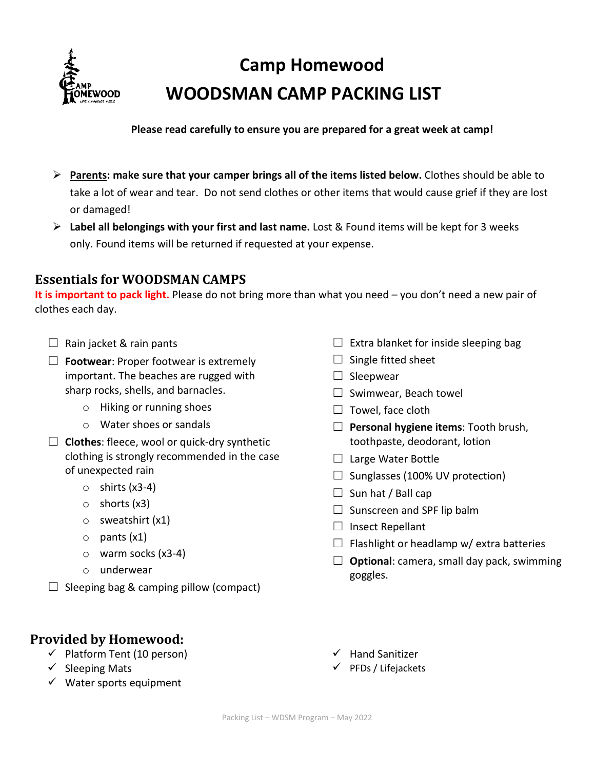

# **Camp Homewood WOODSMAN CAMP PACKING LIST**

**Please read carefully to ensure you are prepared for a great week at camp!**

- **Parents: make sure that your camper brings all of the items listed below.** Clothes should be able to take a lot of wear and tear. Do not send clothes or other items that would cause grief if they are lost or damaged!
- **Label all belongings with your first and last name.** Lost & Found items will be kept for 3 weeks only. Found items will be returned if requested at your expense.

## **Essentials for WOODSMAN CAMPS**

**It is important to pack light.** Please do not bring more than what you need – you don't need a new pair of clothes each day.

- $\Box$  Rain jacket & rain pants
- ☐ **Footwear**: Proper footwear is extremely important. The beaches are rugged with sharp rocks, shells, and barnacles.
	- o Hiking or running shoes
	- o Water shoes or sandals
- ☐ **Clothes**: fleece, wool or quick-dry synthetic clothing is strongly recommended in the case of unexpected rain
	- $\circ$  shirts (x3-4)
	- o shorts (x3)
	- o sweatshirt (x1)
	- $\circ$  pants  $(x1)$
	- o warm socks (x3-4)
	- o underwear
- $\Box$  Sleeping bag & camping pillow (compact)
- **Provided by Homewood:**
	- $\checkmark$  Platform Tent (10 person)
	- $\checkmark$  Sleeping Mats
	- $\checkmark$  Water sports equipment
- $\Box$  Extra blanket for inside sleeping bag
- $\Box$  Single fitted sheet
- $\Box$  Sleepwear
- $\Box$  Swimwear, Beach towel
- $\Box$  Towel, face cloth
- ☐ **Personal hygiene items**: Tooth brush, toothpaste, deodorant, lotion
- $\Box$  Large Water Bottle
- $\Box$  Sunglasses (100% UV protection)
- $\Box$  Sun hat / Ball cap
- $\Box$  Sunscreen and SPF lip balm
- $\Box$  Insect Repellant

 $\checkmark$  Hand Sanitizer  $\checkmark$  PFDs / Lifejackets

- $\Box$  Flashlight or headlamp w/ extra batteries
- ☐ **Optional**: camera, small day pack, swimming goggles.

Packing List – WDSM Program – May 2022